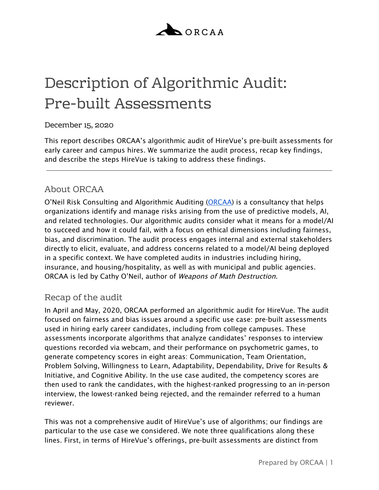

# Description of Algorithmic Audit: Pre-built Assessments

### December 15, 2020

This report describes ORCAA's algorithmic audit of HireVue's pre-built assessments for early career and campus hires. We summarize the audit process, recap key findings, and describe the steps HireVue is taking to address these findings.

## About ORCAA

O'Neil Risk Consulting and Algorithmic Auditing [\(ORCAA](http://www.orcaarisk.com/)) is a consultancy that helps organizations identify and manage risks arising from the use of predictive models, AI, and related technologies. Our algorithmic audits consider what it means for a model/AI to succeed and how it could fail, with a focus on ethical dimensions including fairness, bias, and discrimination. The audit process engages internal and external stakeholders directly to elicit, evaluate, and address concerns related to a model/AI being deployed in a specific context. We have completed audits in industries including hiring, insurance, and housing/hospitality, as well as with municipal and public agencies. ORCAA is led by Cathy O'Neil, author of Weapons of Math Destruction.

## Recap of the audit

In April and May, 2020, ORCAA performed an algorithmic audit for HireVue. The audit focused on fairness and bias issues around a specific use case: pre-built assessments used in hiring early career candidates, including from college campuses. These assessments incorporate algorithms that analyze candidates' responses to interview questions recorded via webcam, and their performance on psychometric games, to generate competency scores in eight areas: Communication, Team Orientation, Problem Solving, Willingness to Learn, Adaptability, Dependability, Drive for Results & Initiative, and Cognitive Ability. In the use case audited, the competency scores are then used to rank the candidates, with the highest-ranked progressing to an in-person interview, the lowest-ranked being rejected, and the remainder referred to a human reviewer.

This was not a comprehensive audit of HireVue's use of algorithms; our findings are particular to the use case we considered. We note three qualifications along these lines. First, in terms of HireVue's offerings, pre-built assessments are distinct from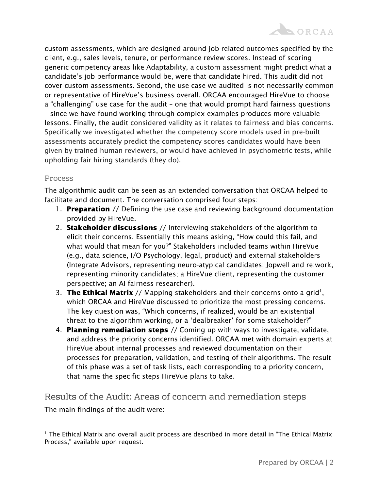custom assessments, which are designed around job-related outcomes specified by the client, e.g., sales levels, tenure, or performance review scores. Instead of scoring generic competency areas like Adaptability, a custom assessment might predict what a candidate's job performance would be, were that candidate hired. This audit did not cover custom assessments. Second, the use case we audited is not necessarily common or representative of HireVue's business overall. ORCAA encouraged HireVue to choose a "challenging" use case for the audit – one that would prompt hard fairness questions – since we have found working through complex examples produces more valuable lessons. Finally, the audit considered validity as it relates to fairness and bias concerns. Specifically we investigated whether the competency score models used in pre-built assessments accurately predict the competency scores candidates would have been given by trained human reviewers, or would have achieved in psychometric tests, while upholding fair hiring standards (they do).

#### Process

The algorithmic audit can be seen as an extended conversation that ORCAA helped to facilitate and document. The conversation comprised four steps:

- 1. **Preparation** // Defining the use case and reviewing background documentation provided by HireVue.
- 2. Stakeholder discussions // Interviewing stakeholders of the algorithm to elicit their concerns. Essentially this means asking, "How could this fail, and what would that mean for you?" Stakeholders included teams within HireVue (e.g., data science, I/O Psychology, legal, product) and external stakeholders (Integrate Advisors, representing neuro-atypical candidates; Jopwell and re:work, representing minority candidates; a HireVue client, representing the customer perspective; an AI fairness researcher).
- 3. The Ethical Matrix // Mapping stakeholders and their concerns onto a grid<sup>1</sup>, which ORCAA and HireVue discussed to prioritize the most pressing concerns. The key question was, "Which concerns, if realized, would be an existential threat to the algorithm working, or a 'dealbreaker' for some stakeholder?"
- 4. Planning remediation steps // Coming up with ways to investigate, validate, and address the priority concerns identified. ORCAA met with domain experts at HireVue about internal processes and reviewed documentation on their processes for preparation, validation, and testing of their algorithms. The result of this phase was a set of task lists, each corresponding to a priority concern, that name the specific steps HireVue plans to take.

Results of the Audit: Areas of concern and remediation steps The main findings of the audit were:

<sup>&</sup>lt;sup>1</sup> The Ethical Matrix and overall audit process are described in more detail in "The Ethical Matrix Process," available upon request.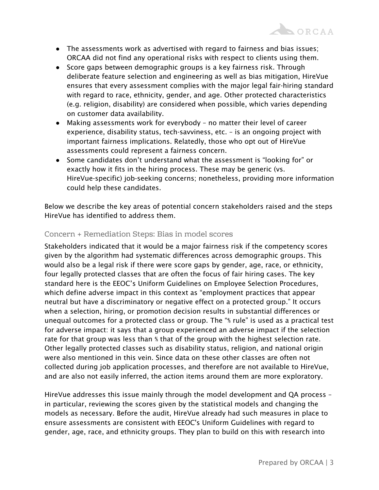- The assessments work as advertised with regard to fairness and bias issues; ORCAA did not find any operational risks with respect to clients using them.
- Score gaps between demographic groups is a key fairness risk. Through deliberate feature selection and engineering as well as bias mitigation, HireVue ensures that every assessment complies with the major legal fair-hiring standard with regard to race, ethnicity, gender, and age. Other protected characteristics (e.g. religion, disability) are considered when possible, which varies depending on customer data availability.
- Making assessments work for everybody no matter their level of career experience, disability status, tech-savviness, etc. – is an ongoing project with important fairness implications. Relatedly, those who opt out of HireVue assessments could represent a fairness concern.
- Some candidates don't understand what the assessment is "looking for" or exactly how it fits in the hiring process. These may be generic (vs. HireVue-specific) job-seeking concerns; nonetheless, providing more information could help these candidates.

Below we describe the key areas of potential concern stakeholders raised and the steps HireVue has identified to address them.

## Concern + Remediation Steps: Bias in model scores

Stakeholders indicated that it would be a major fairness risk if the competency scores given by the algorithm had systematic differences across demographic groups. This would also be a legal risk if there were score gaps by gender, age, race, or ethnicity, four legally protected classes that are often the focus of fair hiring cases. The key standard here is the EEOC's Uniform Guidelines on Employee Selection Procedures, which define adverse impact in this context as "employment practices that appear neutral but have a discriminatory or negative effect on a protected group." It occurs when a selection, hiring, or promotion decision results in substantial differences or unequal outcomes for a protected class or group. The "⅘ rule" is used as a practical test for adverse impact: it says that a group experienced an adverse impact if the selection rate for that group was less than ⅘ that of the group with the highest selection rate. Other legally protected classes such as disability status, religion, and national origin were also mentioned in this vein. Since data on these other classes are often not collected during job application processes, and therefore are not available to HireVue, and are also not easily inferred, the action items around them are more exploratory.

HireVue addresses this issue mainly through the model development and QA process – in particular, reviewing the scores given by the statistical models and changing the models as necessary. Before the audit, HireVue already had such measures in place to ensure assessments are consistent with EEOC's Uniform Guidelines with regard to gender, age, race, and ethnicity groups. They plan to build on this with research into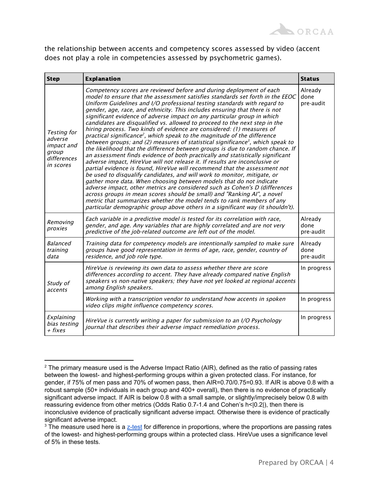

the relationship between accents and competency scores assessed by video (accent does not play a role in competencies assessed by psychometric games).

| <b>Step</b>                                                                             | <b>Explanation</b>                                                                                                                                                                                                                                                                                                                                                                                                                                                                                                                                                                                                                                                                                                                                                                                                                                                                                                                                                                                                                                                                                                                                                                                                                                                                                                                                                                                                                                                                                                                            | <b>Status</b>                |
|-----------------------------------------------------------------------------------------|-----------------------------------------------------------------------------------------------------------------------------------------------------------------------------------------------------------------------------------------------------------------------------------------------------------------------------------------------------------------------------------------------------------------------------------------------------------------------------------------------------------------------------------------------------------------------------------------------------------------------------------------------------------------------------------------------------------------------------------------------------------------------------------------------------------------------------------------------------------------------------------------------------------------------------------------------------------------------------------------------------------------------------------------------------------------------------------------------------------------------------------------------------------------------------------------------------------------------------------------------------------------------------------------------------------------------------------------------------------------------------------------------------------------------------------------------------------------------------------------------------------------------------------------------|------------------------------|
| <b>Testing for</b><br>adverse<br><i>impact and</i><br>group<br>differences<br>in scores | Competency scores are reviewed before and during deployment of each<br>model to ensure that the assessment satisfies standards set forth in the EEOC<br>Uniform Guidelines and I/O professional testing standards with regard to<br>gender, age, race, and ethnicity. This includes ensuring that there is not<br>significant evidence of adverse impact on any particular group in which<br>candidates are disqualified vs. allowed to proceed to the next step in the<br>hiring process. Two kinds of evidence are considered: (1) measures of<br>practical significance <sup>2</sup> , which speak to the magnitude of the difference<br>between groups; and (2) measures of statistical significance <sup>3</sup> , which speak to<br>the likelihood that the difference between groups is due to random chance. If<br>an assessment finds evidence of both practically and statistically significant<br>adverse impact, HireVue will not release it. If results are inconclusive or<br>partial evidence is found, HireVue will recommend that the assessment not<br>be used to disqualify candidates, and will work to monitor, mitigate, or<br>gather more data. When choosing between models that do not indicate<br>adverse impact, other metrics are considered such as Cohen's D (differences<br>across groups in mean scores should be small) and "Ranking AI", a novel<br>metric that summarizes whether the model tends to rank members of any<br>particular demographic group above others in a significant way (it shouldn't). | Already<br>done<br>pre-audit |
| Removing<br>proxies                                                                     | Each variable in a predictive model is tested for its correlation with race,<br>gender, and age. Any variables that are highly correlated and are not very<br>predictive of the job-related outcome are left out of the model.                                                                                                                                                                                                                                                                                                                                                                                                                                                                                                                                                                                                                                                                                                                                                                                                                                                                                                                                                                                                                                                                                                                                                                                                                                                                                                                | Already<br>done<br>pre-audit |
| <b>Balanced</b><br>training<br>data                                                     | Training data for competency models are intentionally sampled to make sure<br>groups have good representation in terms of age, race, gender, country of<br>residence, and job role type.                                                                                                                                                                                                                                                                                                                                                                                                                                                                                                                                                                                                                                                                                                                                                                                                                                                                                                                                                                                                                                                                                                                                                                                                                                                                                                                                                      | Already<br>done<br>pre-audit |
| Study of<br>accents                                                                     | HireVue is reviewing its own data to assess whether there are score<br>differences according to accent. They have already compared native English<br>speakers vs non-native speakers; they have not yet looked at regional accents<br>among English speakers.                                                                                                                                                                                                                                                                                                                                                                                                                                                                                                                                                                                                                                                                                                                                                                                                                                                                                                                                                                                                                                                                                                                                                                                                                                                                                 | In progress                  |
|                                                                                         | Working with a transcription vendor to understand how accents in spoken<br>video clips might influence competency scores.                                                                                                                                                                                                                                                                                                                                                                                                                                                                                                                                                                                                                                                                                                                                                                                                                                                                                                                                                                                                                                                                                                                                                                                                                                                                                                                                                                                                                     | In progress                  |
| Explaining<br>bias testing<br>$+$ fixes                                                 | HireVue is currently writing a paper for submission to an I/O Psychology<br>journal that describes their adverse impact remediation process.                                                                                                                                                                                                                                                                                                                                                                                                                                                                                                                                                                                                                                                                                                                                                                                                                                                                                                                                                                                                                                                                                                                                                                                                                                                                                                                                                                                                  | In progress                  |

 $2$  The primary measure used is the Adverse Impact Ratio (AIR), defined as the ratio of passing rates between the lowest- and highest-performing groups within a given protected class. For instance, for gender, if 75% of men pass and 70% of women pass, then AIR=0.70/0.75=0.93. If AIR is above 0.8 with a robust sample (50+ individuals in each group and 400+ overall), then there is no evidence of practically significant adverse impact. If AIR is below 0.8 with a small sample, or slightly/imprecisely below 0.8 with reassuring evidence from other metrics (Odds Ratio 0.7-1.4 and Cohen's h<|0.2|), then there is inconclusive evidence of practically significant adverse impact. Otherwise there is evidence of practically significant adverse impact.

 $3$  The measure used here is a [z-test](https://www.statisticshowto.com/z-test/) for difference in proportions, where the proportions are passing rates of the lowest- and highest-performing groups within a protected class. HireVue uses a significance level of 5% in these tests.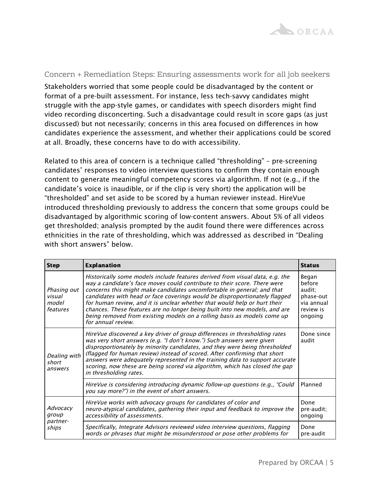

#### Concern + Remediation Steps: Ensuring assessments work for all job seekers

Stakeholders worried that some people could be disadvantaged by the content or format of a pre-built assessment. For instance, less tech-savvy candidates might struggle with the app-style games, or candidates with speech disorders might find video recording disconcerting. Such a disadvantage could result in score gaps (as just discussed) but not necessarily; concerns in this area focused on differences in how candidates experience the assessment, and whether their applications could be scored at all. Broadly, these concerns have to do with accessibility.

Related to this area of concern is a technique called "thresholding" – pre-screening candidates' responses to video interview questions to confirm they contain enough content to generate meaningful competency scores via algorithm. If not (e.g., if the candidate's voice is inaudible, or if the clip is very short) the application will be "thresholded" and set aside to be scored by a human reviewer instead. HireVue introduced thresholding previously to address the concern that some groups could be disadvantaged by algorithmic scoring of low-content answers. About 5% of all videos get thresholded; analysis prompted by the audit found there were differences across ethnicities in the rate of thresholding, which was addressed as described in "Dealing with short answers" below.

| <b>Step</b>                                | <b>Explanation</b>                                                                                                                                                                                                                                                                                                                                                                                                                                                                                                                                                           | <b>Status</b>                                                                |
|--------------------------------------------|------------------------------------------------------------------------------------------------------------------------------------------------------------------------------------------------------------------------------------------------------------------------------------------------------------------------------------------------------------------------------------------------------------------------------------------------------------------------------------------------------------------------------------------------------------------------------|------------------------------------------------------------------------------|
| Phasing out<br>visual<br>model<br>features | Historically some models include features derived from visual data, e.g. the<br>way a candidate's face moves could contribute to their score. There were<br>concerns this might make candidates uncomfortable in general; and that<br>candidates with head or face coverings would be disproportionately flagged<br>for human review, and it is unclear whether that would help or hurt their<br>chances. These features are no longer being built into new models, and are<br>being removed from existing models on a rolling basis as models come up<br>for annual review. | Began<br>hefore<br>audit:<br>phase-out<br>via annual<br>review is<br>ongoing |
| Dealing with<br>short<br>answers           | HireVue discovered a key driver of group differences in thresholding rates<br>was very short answers (e.g. "I don't know.") Such answers were given<br>disproportionately by minority candidates, and they were being thresholded<br>(flagged for human review) instead of scored. After confirming that short<br>answers were adequately represented in the training data to support accurate<br>scoring, now these are being scored via algorithm, which has closed the gap<br>in thresholding rates.                                                                      | Done since<br>audit                                                          |
|                                            | HireVue is considering introducing dynamic follow-up questions (e.g., "Could<br>you say more?") in the event of short answers.                                                                                                                                                                                                                                                                                                                                                                                                                                               | Planned                                                                      |
| Advocacy<br>group<br>partner-<br>ships     | HireVue works with advocacy groups for candidates of color and<br>neuro-atypical candidates, gathering their input and feedback to improve the<br>accessibility of assessments.                                                                                                                                                                                                                                                                                                                                                                                              | Done<br>pre-audit;<br>ongoing                                                |
|                                            | Specifically, Integrate Advisors reviewed video interview questions, flagging<br>words or phrases that might be misunderstood or pose other problems for                                                                                                                                                                                                                                                                                                                                                                                                                     | Done<br>pre-audit                                                            |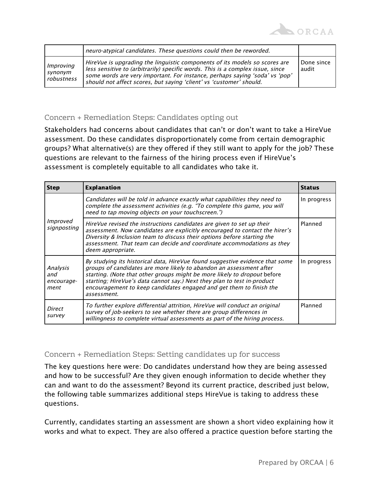

|                                           | neuro-atypical candidates. These questions could then be reworded.                                                                                                                                                                                                                                                 |                     |
|-------------------------------------------|--------------------------------------------------------------------------------------------------------------------------------------------------------------------------------------------------------------------------------------------------------------------------------------------------------------------|---------------------|
| <i>Improving</i><br>synonym<br>robustness | HireVue is upgrading the linguistic components of its models so scores are<br>less sensitive to (arbitrarily) specific words. This is a complex issue, since<br>some words are very important. For instance, perhaps saying 'soda' vs 'pop'<br>should not affect scores, but saying 'client' vs 'customer' should. | Done since<br>audit |

## Concern + Remediation Steps: Candidates opting out

Stakeholders had concerns about candidates that can't or don't want to take a HireVue assessment. Do these candidates disproportionately come from certain demographic groups? What alternative(s) are they offered if they still want to apply for the job? These questions are relevant to the fairness of the hiring process even if HireVue's assessment is completely equitable to all candidates who take it.

| <b>Step</b>                           | <b>Explanation</b>                                                                                                                                                                                                                                                                                                                                                                               | <b>Status</b> |
|---------------------------------------|--------------------------------------------------------------------------------------------------------------------------------------------------------------------------------------------------------------------------------------------------------------------------------------------------------------------------------------------------------------------------------------------------|---------------|
| Improved<br>signposting               | Candidates will be told in advance exactly what capabilities they need to<br>complete the assessment activities (e.g. "To complete this game, you will<br>need to tap moving objects on your touchscreen.")                                                                                                                                                                                      | In progress   |
|                                       | HireVue revised the instructions candidates are given to set up their<br>assessment. Now candidates are explicitly encouraged to contact the hirer's<br>Diversity & Inclusion team to discuss their options before starting the<br>assessment. That team can decide and coordinate accommodations as they<br>deem appropriate.                                                                   | Planned       |
| Analysis<br>and<br>encourage-<br>ment | By studying its historical data, HireVue found suggestive evidence that some<br>groups of candidates are more likely to abandon an assessment after<br>starting. (Note that other groups might be more likely to dropout before<br>starting; HireVue's data cannot say.) Next they plan to test in-product<br>encouragement to keep candidates engaged and get them to finish the<br>assessment. | In progress   |
| Direct<br>survey                      | To further explore differential attrition, HireVue will conduct an original<br>survey of job-seekers to see whether there are group differences in<br>willingness to complete virtual assessments as part of the hiring process.                                                                                                                                                                 | Planned       |

### Concern + Remediation Steps: Setting candidates up for success

The key questions here were: Do candidates understand how they are being assessed and how to be successful? Are they given enough information to decide whether they can and want to do the assessment? Beyond its current practice, described just below, the following table summarizes additional steps HireVue is taking to address these questions.

Currently, candidates starting an assessment are shown a short video explaining how it works and what to expect. They are also offered a practice question before starting the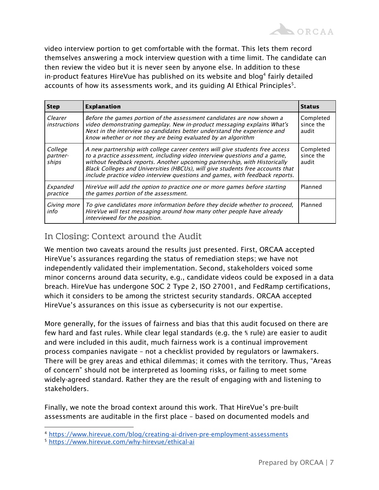

video interview portion to get comfortable with the format. This lets them record themselves answering a mock interview question with a time limit. The candidate can then review the video but it is never seen by anyone else. In addition to these in-product features HireVue has published on its website and blog $^4$  fairly detailed accounts of how its assessments work, and its guiding AI Ethical Principles $5$ .

| <b>Step</b>                    | <b>Explanation</b>                                                                                                                                                                                                                                                                                                                                                                                       | <b>Status</b>                   |
|--------------------------------|----------------------------------------------------------------------------------------------------------------------------------------------------------------------------------------------------------------------------------------------------------------------------------------------------------------------------------------------------------------------------------------------------------|---------------------------------|
| Clearer<br><i>instructions</i> | Before the games portion of the assessment candidates are now shown a<br>video demonstrating gameplay. New in-product messaging explains What's<br>Next in the interview so candidates better understand the experience and<br>know whether or not they are being evaluated by an algorithm                                                                                                              | Completed<br>since the<br>audit |
| College<br>partner-<br>ships   | A new partnership with college career centers will give students free access<br>to a practice assessment, including video interview questions and a game,<br>without feedback reports. Another upcoming partnership, with Historically<br>Black Colleges and Universities (HBCUs), will give students free accounts that<br>include practice video interview questions and games, with feedback reports. | Completed<br>since the<br>audit |
| Expanded<br>practice           | HireVue will add the option to practice one or more games before starting<br>the games portion of the assessment.                                                                                                                                                                                                                                                                                        | Planned                         |
| Giving more<br>info            | To give candidates more information before they decide whether to proceed,<br>HireVue will test messaging around how many other people have already<br>interviewed for the position.                                                                                                                                                                                                                     | Planned                         |

## In Closing: Context around the Audit

We mention two caveats around the results just presented. First, ORCAA accepted HireVue's assurances regarding the status of remediation steps; we have not independently validated their implementation. Second, stakeholders voiced some minor concerns around data security, e.g., candidate videos could be exposed in a data breach. HireVue has undergone SOC 2 Type 2, ISO 27001, and FedRamp certifications, which it considers to be among the strictest security standards. ORCAA accepted HireVue's assurances on this issue as cybersecurity is not our expertise.

More generally, for the issues of fairness and bias that this audit focused on there are few hard and fast rules. While clear legal standards (e.g. the ⅘ rule) are easier to audit and were included in this audit, much fairness work is a continual improvement process companies navigate – not a checklist provided by regulators or lawmakers. There will be grey areas and ethical dilemmas; it comes with the territory. Thus, "Areas of concern" should not be interpreted as looming risks, or failing to meet some widely-agreed standard. Rather they are the result of engaging with and listening to stakeholders.

Finally, we note the broad context around this work. That HireVue's pre-built assessments are auditable in the first place – based on documented models and

<sup>4</sup> <https://www.hirevue.com/blog/creating-ai-driven-pre-employment-assessments>

<sup>5</sup> <https://www.hirevue.com/why-hirevue/ethical-ai>